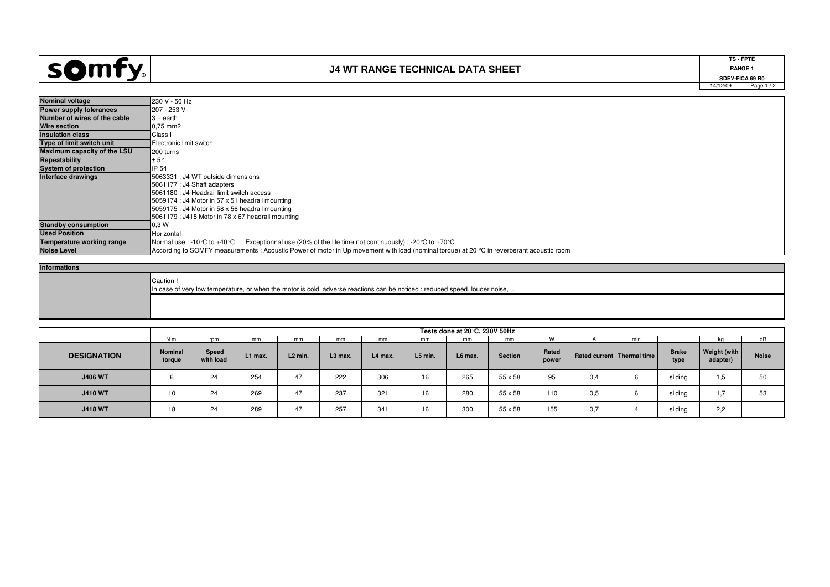

## **J4 WT RANGE TECHNICAL DATA SHEET**

14/12/09 Page 1 / 2**TS - FPTERANGE 1 RANGE 1**<br>
SDEV-FICA 69 R0<br>
SDEV-FICA 69 R0

| <b>Nominal voltage</b>           | 230 V - 50 Hz                                                                                                                            |  |  |  |  |  |  |  |  |  |
|----------------------------------|------------------------------------------------------------------------------------------------------------------------------------------|--|--|--|--|--|--|--|--|--|
| Power supply tolerances          | 207 - 253 V                                                                                                                              |  |  |  |  |  |  |  |  |  |
| Number of wires of the cable     | $3 +$ earth                                                                                                                              |  |  |  |  |  |  |  |  |  |
| <b>Wire section</b>              | 0.75 mm2                                                                                                                                 |  |  |  |  |  |  |  |  |  |
| <b>Insulation class</b>          | Class I                                                                                                                                  |  |  |  |  |  |  |  |  |  |
| Type of limit switch unit        | Electronic limit switch                                                                                                                  |  |  |  |  |  |  |  |  |  |
| Maximum capacity of the LSU      | 200 turns                                                                                                                                |  |  |  |  |  |  |  |  |  |
| Repeatability                    | ± 5°                                                                                                                                     |  |  |  |  |  |  |  |  |  |
| <b>System of protection</b>      | IP 54                                                                                                                                    |  |  |  |  |  |  |  |  |  |
| Interface drawings               | 5063331 : J4 WT outside dimensions                                                                                                       |  |  |  |  |  |  |  |  |  |
|                                  | 5061177 : J4 Shaft adapters                                                                                                              |  |  |  |  |  |  |  |  |  |
|                                  | 5061180 : J4 Headrail limit switch access                                                                                                |  |  |  |  |  |  |  |  |  |
|                                  | 5059174 : J4 Motor in 57 x 51 headrail mounting                                                                                          |  |  |  |  |  |  |  |  |  |
|                                  | 5059175 : J4 Motor in 58 x 56 headrail mounting                                                                                          |  |  |  |  |  |  |  |  |  |
|                                  | 5061179 : J418 Motor in 78 x 67 headrail mounting                                                                                        |  |  |  |  |  |  |  |  |  |
| <b>Standby consumption</b>       | 0.3W                                                                                                                                     |  |  |  |  |  |  |  |  |  |
| <b>Used Position</b>             | Horizontal                                                                                                                               |  |  |  |  |  |  |  |  |  |
| <b>Temperature working range</b> | Exceptionnal use (20% of the life time not continuously) : -20 °C to +70 °C<br>Normal use : -10℃ to +40℃                                 |  |  |  |  |  |  |  |  |  |
| <b>Noise Level</b>               | According to SOMFY measurements: Acoustic Power of motor in Up movement with load (nominal torque) at 20 °C in reverberant acoustic room |  |  |  |  |  |  |  |  |  |

## **Informations**

| "Caution !<br>In case of very low temperature, or when the motor is cold, adverse reactions can be noticed : reduced speed, louder noise, |
|-------------------------------------------------------------------------------------------------------------------------------------------|
|                                                                                                                                           |

|                    | Tests done at 20 °C, 230V 50Hz |                    |         |           |           |         |         |         |         |                |      |                              |                      |                          |              |
|--------------------|--------------------------------|--------------------|---------|-----------|-----------|---------|---------|---------|---------|----------------|------|------------------------------|----------------------|--------------------------|--------------|
|                    | N.m                            | rpm                | mm      | mm        | mm        | mm      | mm      | mm      | mm      |                |      | min                          |                      | ĸα                       | dB           |
| <b>DESIGNATION</b> | <b>Nominal</b><br>torque       | Speed<br>with load | L1 max. | $L2$ min. | $L3$ max. | L4 max. | L5 min. | L6 max. | Section | Rated<br>power |      | Rated current   Thermal time | <b>Brake</b><br>type | Weight (with<br>adapter) | <b>Noise</b> |
| <b>J406 WT</b>     |                                | 24                 | 254     | 47        | 222       | 306     | 16      | 265     | 55 x 58 | 95             | υ.4  |                              | sliding              | 1.5                      | 50           |
| <b>J410 WT</b>     | 10                             | 24                 | 269     | 47        | 237       | 321     | 16      | 280     | 55 x 58 | 110            | 0,5  |                              | sliding              | $\overline{ }$<br>ι.     | 53           |
| <b>J418 WT</b>     | 18                             | 24                 | 289     | 47        | 257       | 341     | 16      | 300     | 55 x 58 | 155            | v, r |                              | sliding              | 2,2                      |              |